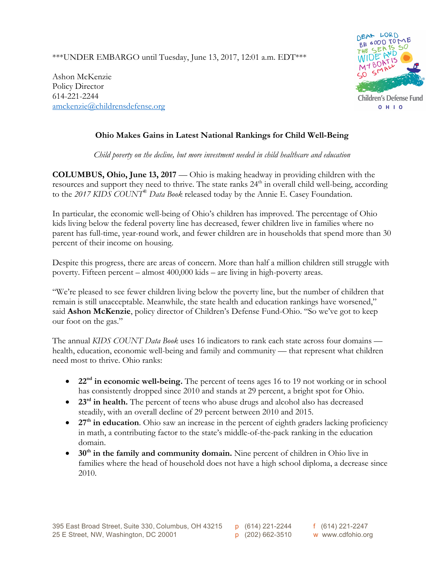\*\*\*UNDER EMBARGO until Tuesday, June 13, 2017, 12:01 a.m. EDT\*\*\*

Ashon McKenzie Policy Director 614-221-2244 amckenzie@childrensdefense.org



## **Ohio Makes Gains in Latest National Rankings for Child Well-Being**

*Child poverty on the decline, but more investment needed in child healthcare and education*

**COLUMBUS, Ohio, June 13, 2017** — Ohio is making headway in providing children with the resources and support they need to thrive. The state ranks 24<sup>th</sup> in overall child well-being, according to the *2017 KIDS COUNT*® *Data Book* released today by the Annie E. Casey Foundation.

In particular, the economic well-being of Ohio's children has improved. The percentage of Ohio kids living below the federal poverty line has decreased, fewer children live in families where no parent has full-time, year-round work, and fewer children are in households that spend more than 30 percent of their income on housing.

Despite this progress, there are areas of concern. More than half a million children still struggle with poverty. Fifteen percent – almost 400,000 kids – are living in high-poverty areas.

"We're pleased to see fewer children living below the poverty line, but the number of children that remain is still unacceptable. Meanwhile, the state health and education rankings have worsened," said **Ashon McKenzie**, policy director of Children's Defense Fund-Ohio. "So we've got to keep our foot on the gas."

The annual *KIDS COUNT Data Book* uses 16 indicators to rank each state across four domains health, education, economic well-being and family and community — that represent what children need most to thrive. Ohio ranks:

- **22nd in economic well-being.** The percent of teens ages 16 to 19 not working or in school has consistently dropped since 2010 and stands at 29 percent, a bright spot for Ohio.
- **23rd in health.** The percent of teens who abuse drugs and alcohol also has decreased steadily, with an overall decline of 29 percent between 2010 and 2015.
- 27<sup>th</sup> in education. Ohio saw an increase in the percent of eighth graders lacking proficiency in math, a contributing factor to the state's middle-of-the-pack ranking in the education domain.
- 30<sup>th</sup> in the family and community domain. Nine percent of children in Ohio live in families where the head of household does not have a high school diploma, a decrease since 2010.